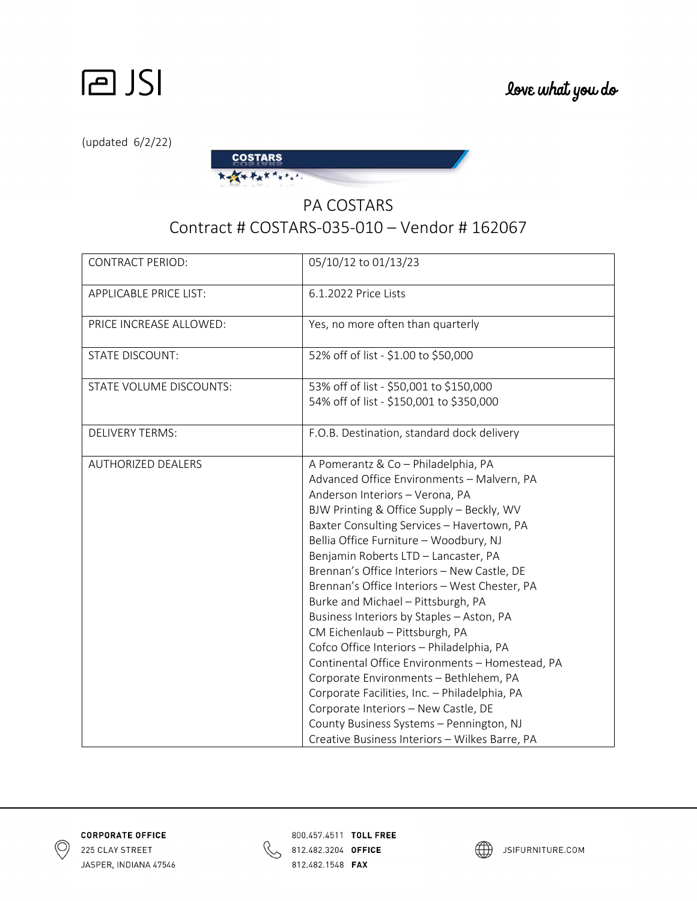

(updated 6/2/22)



## PA COSTARS Contract # COSTARS-035-010 – Vendor # 162067

| <b>CONTRACT PERIOD:</b>       | 05/10/12 to 01/13/23                                                                                                                                                                                                                                                                                                                                                                                                                                                                                                                                                                                                                                                                                                                                                                                                                                    |
|-------------------------------|---------------------------------------------------------------------------------------------------------------------------------------------------------------------------------------------------------------------------------------------------------------------------------------------------------------------------------------------------------------------------------------------------------------------------------------------------------------------------------------------------------------------------------------------------------------------------------------------------------------------------------------------------------------------------------------------------------------------------------------------------------------------------------------------------------------------------------------------------------|
| <b>APPLICABLE PRICE LIST:</b> | 6.1.2022 Price Lists                                                                                                                                                                                                                                                                                                                                                                                                                                                                                                                                                                                                                                                                                                                                                                                                                                    |
| PRICE INCREASE ALLOWED:       | Yes, no more often than quarterly                                                                                                                                                                                                                                                                                                                                                                                                                                                                                                                                                                                                                                                                                                                                                                                                                       |
| <b>STATE DISCOUNT:</b>        | 52% off of list - \$1.00 to \$50,000                                                                                                                                                                                                                                                                                                                                                                                                                                                                                                                                                                                                                                                                                                                                                                                                                    |
| STATE VOLUME DISCOUNTS:       | 53% off of list - \$50,001 to \$150,000<br>54% off of list - \$150,001 to \$350,000                                                                                                                                                                                                                                                                                                                                                                                                                                                                                                                                                                                                                                                                                                                                                                     |
| <b>DELIVERY TERMS:</b>        | F.O.B. Destination, standard dock delivery                                                                                                                                                                                                                                                                                                                                                                                                                                                                                                                                                                                                                                                                                                                                                                                                              |
| <b>AUTHORIZED DEALERS</b>     | A Pomerantz & Co - Philadelphia, PA<br>Advanced Office Environments - Malvern, PA<br>Anderson Interiors - Verona, PA<br>BJW Printing & Office Supply - Beckly, WV<br>Baxter Consulting Services - Havertown, PA<br>Bellia Office Furniture - Woodbury, NJ<br>Benjamin Roberts LTD - Lancaster, PA<br>Brennan's Office Interiors - New Castle, DE<br>Brennan's Office Interiors - West Chester, PA<br>Burke and Michael - Pittsburgh, PA<br>Business Interiors by Staples - Aston, PA<br>CM Eichenlaub - Pittsburgh, PA<br>Cofco Office Interiors - Philadelphia, PA<br>Continental Office Environments - Homestead, PA<br>Corporate Environments - Bethlehem, PA<br>Corporate Facilities, Inc. - Philadelphia, PA<br>Corporate Interiors - New Castle, DE<br>County Business Systems - Pennington, NJ<br>Creative Business Interiors - Wilkes Barre, PA |





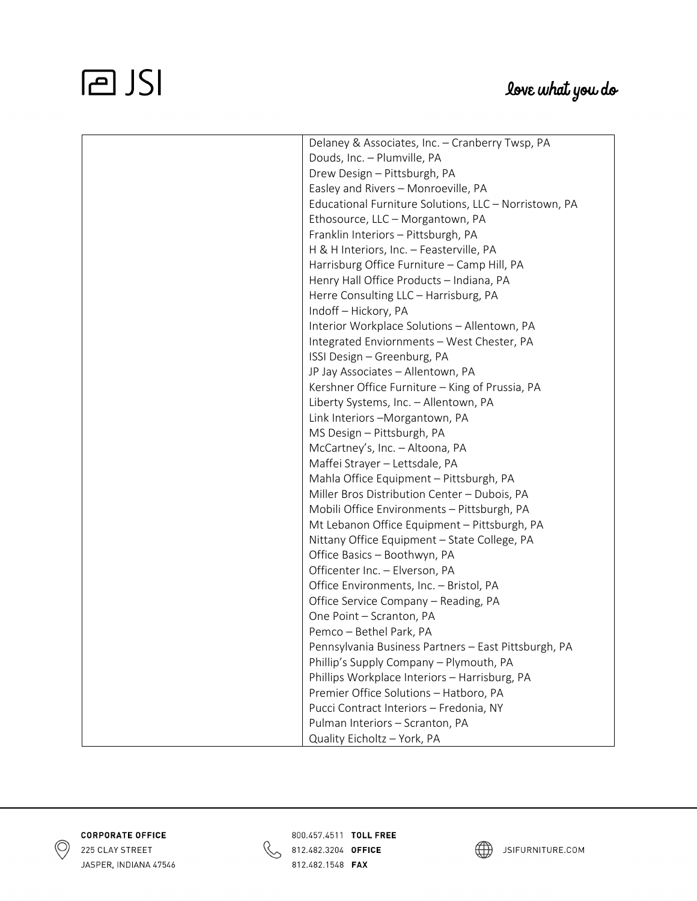## **PJSI**

| Delaney & Associates, Inc. - Cranberry Twsp, PA       |
|-------------------------------------------------------|
| Douds, Inc. - Plumville, PA                           |
| Drew Design - Pittsburgh, PA                          |
| Easley and Rivers - Monroeville, PA                   |
| Educational Furniture Solutions, LLC - Norristown, PA |
| Ethosource, LLC - Morgantown, PA                      |
| Franklin Interiors - Pittsburgh, PA                   |
| H & H Interiors, Inc. - Feasterville, PA              |
| Harrisburg Office Furniture - Camp Hill, PA           |
| Henry Hall Office Products - Indiana, PA              |
| Herre Consulting LLC - Harrisburg, PA                 |
| Indoff - Hickory, PA                                  |
| Interior Workplace Solutions - Allentown, PA          |
| Integrated Enviornments - West Chester, PA            |
| ISSI Design - Greenburg, PA                           |
| JP Jay Associates - Allentown, PA                     |
| Kershner Office Furniture - King of Prussia, PA       |
| Liberty Systems, Inc. - Allentown, PA                 |
| Link Interiors - Morgantown, PA                       |
| MS Design - Pittsburgh, PA                            |
| McCartney's, Inc. - Altoona, PA                       |
| Maffei Strayer - Lettsdale, PA                        |
| Mahla Office Equipment - Pittsburgh, PA               |
| Miller Bros Distribution Center - Dubois, PA          |
| Mobili Office Environments - Pittsburgh, PA           |
| Mt Lebanon Office Equipment - Pittsburgh, PA          |
| Nittany Office Equipment - State College, PA          |
| Office Basics - Boothwyn, PA                          |
| Officenter Inc. - Elverson, PA                        |
| Office Environments, Inc. - Bristol, PA               |
| Office Service Company - Reading, PA                  |
| One Point - Scranton, PA                              |
| Pemco - Bethel Park, PA                               |
| Pennsylvania Business Partners - East Pittsburgh, PA  |
| Phillip's Supply Company - Plymouth, PA               |
| Phillips Workplace Interiors - Harrisburg, PA         |
| Premier Office Solutions - Hatboro, PA                |
| Pucci Contract Interiors - Fredonia, NY               |
| Pulman Interiors - Scranton, PA                       |
| Quality Eicholtz - York, PA                           |